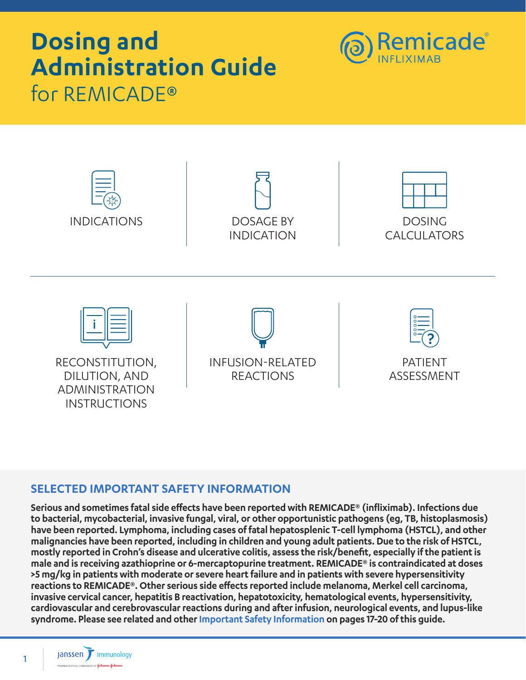# **Dosing and Administration Guide**  for REMICADE®





### **SELECTED IMPORTANT SAFETY INFORMATION**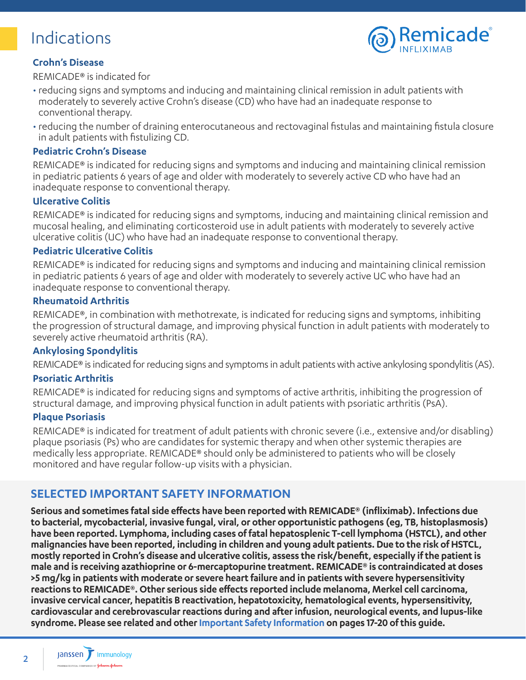### <span id="page-1-0"></span>Indications



### **Crohn's Disease**

REMICADE® is indicated for

- reducing signs and symptoms and inducing and maintaining clinical remission in adult patients with moderately to severely active Crohn's disease (CD) who have had an inadequate response to conventional therapy.
- reducing the number of draining enterocutaneous and rectovaginal fistulas and maintaining fistula closure in adult patients with fistulizing CD.

#### **Pediatric Crohn's Disease**

REMICADE® is indicated for reducing signs and symptoms and inducing and maintaining clinical remission in pediatric patients 6 years of age and older with moderately to severely active CD who have had an inadequate response to conventional therapy.

#### **Ulcerative Colitis**

REMICADE® is indicated for reducing signs and symptoms, inducing and maintaining clinical remission and mucosal healing, and eliminating corticosteroid use in adult patients with moderately to severely active ulcerative colitis (UC) who have had an inadequate response to conventional therapy.

#### **Pediatric Ulcerative Colitis**

REMICADE® is indicated for reducing signs and symptoms and inducing and maintaining clinical remission in pediatric patients 6 years of age and older with moderately to severely active UC who have had an inadequate response to conventional therapy.

#### **Rheumatoid Arthritis**

REMICADE®, in combination with methotrexate, is indicated for reducing signs and symptoms, inhibiting the progression of structural damage, and improving physical function in adult patients with moderately to severely active rheumatoid arthritis (RA).

#### **Ankylosing Spondylitis**

REMICADE® is indicated for reducing signs and symptoms in adult patients with active ankylosing spondylitis (AS).

#### **Psoriatic Arthritis**

REMICADE® is indicated for reducing signs and symptoms of active arthritis, inhibiting the progression of structural damage, and improving physical function in adult patients with psoriatic arthritis (PsA).

#### **Plaque Psoriasis**

REMICADE® is indicated for treatment of adult patients with chronic severe (i.e., extensive and/or disabling) plaque psoriasis (Ps) who are candidates for systemic therapy and when other systemic therapies are medically less appropriate. REMICADE® should only be administered to patients who will be closely monitored and have regular follow-up visits with a physician.

### **SELECTED IMPORTANT SAFETY INFORMATION**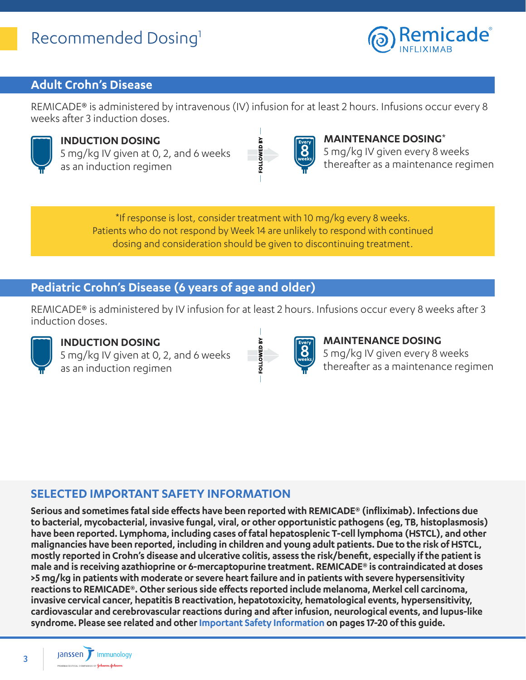### <span id="page-2-0"></span>Recommended Dosing<sup>1</sup>



### **Adult Crohn's Disease**

REMICADE® is administered by intravenous (IV) infusion for at least 2 hours. Infusions occur every 8 weeks after 3 induction doses.

FOLLOWED BY



**INDUCTION DOSING** 5 mg/kg IV given at 0, 2, and 6 weeks as an induction regimen



#### **MAINTENANCE DOSING**\*

5 mg/kg IV given every 8 weeks thereafter as a maintenance regimen

\*If response is lost, consider treatment with 10 mg/kg every 8 weeks. Patients who do not respond by Week 14 are unlikely to respond with continued dosing and consideration should be given to discontinuing treatment.

### **Pediatric Crohn's Disease (6 years of age and older)**

REMICADE® is administered by IV infusion for at least 2 hours. Infusions occur every 8 weeks after 3 induction doses.

FOLLOWED BY



### **INDUCTION DOSING**

5 mg/kg IV given at 0, 2, and 6 weeks as an induction regimen



### **MAINTENANCE DOSING** 5 mg/kg IV given every 8 weeks

thereafter as a maintenance regimen

### **SELECTED IMPORTANT SAFETY INFORMATION**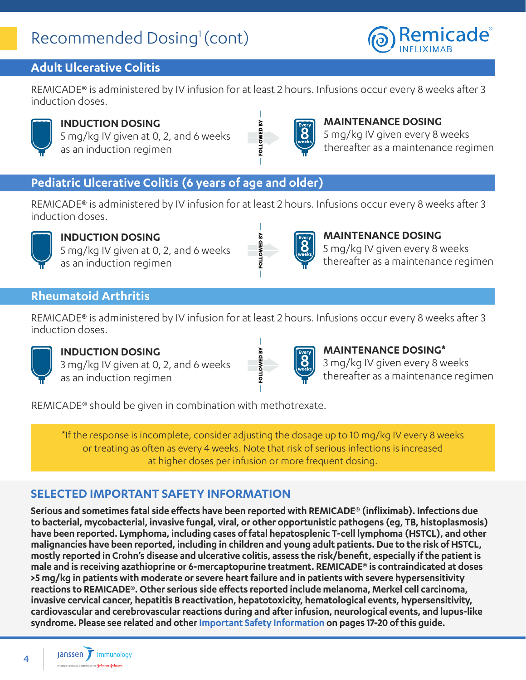### Recommended Dosing<sup>1</sup> (cont)



### **Adult Ulcerative Colitis**

REMICADE® is administered by IV infusion for at least 2 hours. Infusions occur every 8 weeks after 3 induction doses.

OWED BY



**INDUCTION DOSING** 5 mg/kg IV given at 0, 2, and 6 weeks

as an induction regimen



#### **MAINTENANCE DOSING**

5 mg/kg IV given every 8 weeks thereafter as a maintenance regimen

### **Pediatric Ulcerative Colitis (6 years of age and older)**

REMICADE® is administered by IV infusion for at least 2 hours. Infusions occur every 8 weeks after 3 induction doses.



### **INDUCTION DOSING**

5 mg/kg IV given at 0, 2, and 6 weeks as an induction regimen



### **MAINTENANCE DOSING**

5 mg/kg IV given every 8 weeks thereafter as a maintenance regimen

### **Rheumatoid Arthritis**

REMICADE® is administered by IV infusion for at least 2 hours. Infusions occur every 8 weeks after 3 induction doses.

**VS G3MO** 



### **INDUCTION DOSING**

3 mg/kg IV given at 0, 2, and 6 weeks as an induction regimen



### **MAINTENANCE DOSING\***

3 mg/kg IV given every 8 weeks thereafter as a maintenance regimen

REMICADE® should be given in combination with methotrexate.

\*If the response is incomplete, consider adjusting the dosage up to 10 mg/kg IV every 8 weeks or treating as often as every 4 weeks. Note that risk of serious infections is increased at higher doses per infusion or more frequent dosing.

### **SELECTED IMPORTANT SAFETY INFORMATION**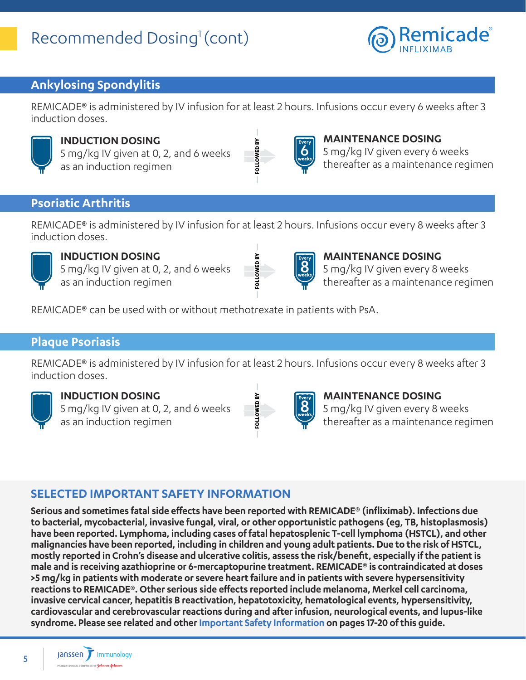## Recommended Dosing<sup>1</sup> (cont)



### **Ankylosing Spondylitis**

REMICADE® is administered by IV infusion for at least 2 hours. Infusions occur every 6 weeks after 3 induction doses.

**SOLLOWED BY** 



### **INDUCTION DOSING**

5 mg/kg IV given at 0, 2, and 6 weeks as an induction regimen



### **MAINTENANCE DOSING**

5 mg/kg IV given every 6 weeks thereafter as a maintenance regimen

### **Psoriatic Arthritis**

REMICADE® is administered by IV infusion for at least 2 hours. Infusions occur every 8 weeks after 3 induction doses.

**OLLOWED BY** 



### **INDUCTION DOSING**

5 mg/kg IV given at 0, 2, and 6 weeks as an induction regimen



**MAINTENANCE DOSING** 5 mg/kg IV given every 8 weeks thereafter as a maintenance regimen

REMICADE® can be used with or without methotrexate in patients with PsA.

### **Plaque Psoriasis**

REMICADE® is administered by IV infusion for at least 2 hours. Infusions occur every 8 weeks after 3 induction doses.



### **INDUCTION DOSING**

5 mg/kg IV given at 0, 2, and 6 weeks as an induction regimen



**MAINTENANCE DOSING** 5 mg/kg IV given every 8 weeks thereafter as a maintenance regimen

### **SELECTED IMPORTANT SAFETY INFORMATION**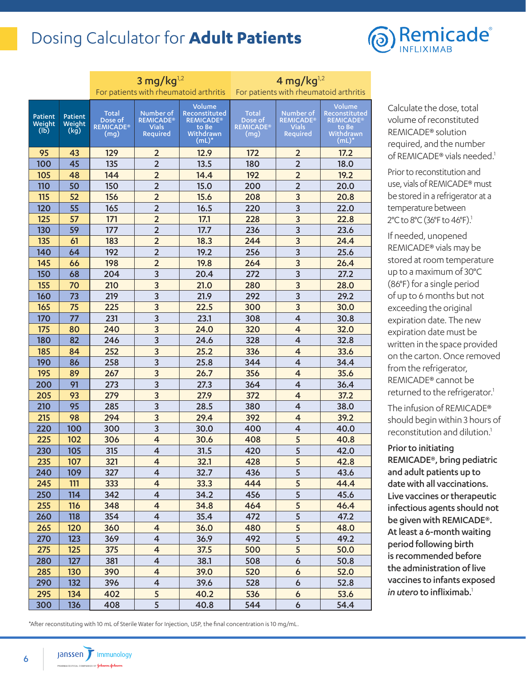### <span id="page-5-0"></span>Dosing Calculator for **Adult Patients**



|                           |                           |                                                     | 3 mg/kg $^{1,2}$                                                 | For patients with rheumatoid arthritis                                     | 4 mg/kg $^{1,2}$<br>For patients with rheumatoid arthritis |                                                           |                                                                            |
|---------------------------|---------------------------|-----------------------------------------------------|------------------------------------------------------------------|----------------------------------------------------------------------------|------------------------------------------------------------|-----------------------------------------------------------|----------------------------------------------------------------------------|
| Patient<br>Weight<br>(Ib) | Patient<br>Weight<br>(kg) | <b>Total</b><br>Dose of<br><b>REMICADE®</b><br>(mg) | Number of<br><b>REMICADE®</b><br><b>Vials</b><br><b>Required</b> | Volume<br>Reconstituted<br><b>REMICADE®</b><br>to Be<br>Withdrawn<br>(mL)* | Total<br>Dose of<br><b>REMICADE®</b><br>(mg)               | Number of<br><b>REMICADE®</b><br><b>Vials</b><br>Required | Volume<br>Reconstituted<br><b>REMICADE®</b><br>to Be<br>Withdrawn<br>(mL)* |
| 95                        | 43                        | 129                                                 | $\overline{2}$                                                   | 12.9                                                                       | 172                                                        | $\overline{2}$                                            | 17.2                                                                       |
| 100                       | 45                        | 135                                                 | $\overline{2}$                                                   | 13.5                                                                       | 180                                                        | $\overline{2}$                                            | 18.0                                                                       |
| 105                       | 48                        | 144                                                 | $\overline{2}$                                                   | 14.4                                                                       | 192                                                        | $\overline{2}$                                            | 19.2                                                                       |
| 110                       | 50                        | 150                                                 | $\overline{2}$                                                   | 15.0                                                                       | 200                                                        | $\overline{2}$                                            | 20.0                                                                       |
| 115                       | 52                        | 156                                                 | $\overline{2}$                                                   | 15.6                                                                       | 208                                                        | 3                                                         | 20.8                                                                       |
| 120                       | 55                        | 165                                                 | $\overline{2}$                                                   | 16.5                                                                       | 220                                                        | 3                                                         | 22.0                                                                       |
| 125                       | 57                        | 171                                                 | $\overline{2}$                                                   | 17.1                                                                       | 228                                                        | $\overline{3}$                                            | 22.8                                                                       |
| 130                       | 59                        | 177                                                 | $\overline{2}$                                                   | 17.7                                                                       | 236                                                        | 3                                                         | 23.6                                                                       |
| 135                       | 61                        | 183                                                 | $\overline{2}$                                                   | 18.3                                                                       | 244                                                        | 3                                                         | 24.4                                                                       |
| 140                       | 64                        | 192                                                 | $\overline{2}$                                                   | 19.2                                                                       | 256                                                        | $\overline{3}$                                            | 25.6                                                                       |
| 145                       | 66                        | 198                                                 | $\overline{2}$                                                   | 19.8                                                                       | 264                                                        | 3                                                         | 26.4                                                                       |
| 150                       | 68                        | 204                                                 | 3                                                                | 20.4                                                                       | 272                                                        | 3                                                         | 27.2                                                                       |
| 155                       | 70                        | 210                                                 | 3                                                                | 21.0                                                                       | 280                                                        | 3                                                         | 28.0                                                                       |
| 160                       | 73                        | 219                                                 | 3                                                                | 21.9                                                                       | 292                                                        | $\overline{3}$                                            | 29.2                                                                       |
| 165                       | 75                        | 225                                                 | $\overline{3}$                                                   | 22.5                                                                       | 300                                                        | 3                                                         | 30.0                                                                       |
| 170                       | 77                        | 231                                                 | 3                                                                | 23.1                                                                       | 308                                                        | $\overline{4}$                                            | 30.8                                                                       |
| 175                       | 80                        | 240                                                 | 3                                                                | 24.0                                                                       | 320                                                        | $\overline{4}$                                            | 32.0                                                                       |
| 180                       | 82                        | 246                                                 | 3                                                                | 24.6                                                                       | 328                                                        | 4                                                         | 32.8                                                                       |
| 185                       | 84                        | 252                                                 | 3                                                                | 25.2                                                                       | 336                                                        | $\overline{\mathbf{4}}$                                   | 33.6                                                                       |
| 190                       | 86                        | 258                                                 | 3                                                                | 25.8                                                                       | 344                                                        | 4                                                         | 34.4                                                                       |
| 195                       | 89                        | 267                                                 | 3                                                                | 26.7                                                                       | 356                                                        | $\overline{\mathbf{4}}$                                   | 35.6                                                                       |
| 200                       | 91                        | 273                                                 | $\overline{3}$                                                   | 27.3                                                                       | 364                                                        | $\overline{4}$                                            | 36.4                                                                       |
| 205                       | 93                        | 279                                                 | 3                                                                | 27.9                                                                       | 372                                                        | $\overline{4}$                                            | 37.2                                                                       |
| 210                       | 95                        | 285                                                 | 3                                                                | 28.5                                                                       | 380                                                        | $\overline{4}$                                            | 38.0                                                                       |
| 215                       | 98                        | 294                                                 | 3                                                                | 29.4                                                                       | 392                                                        | $\overline{4}$                                            | 39.2                                                                       |
| 220                       | 100                       | 300                                                 | 3                                                                | 30.0                                                                       | 400                                                        | 4                                                         | 40.0                                                                       |
| 225                       | 102                       | 306                                                 | $\overline{\mathbf{r}}$                                          | 30.6                                                                       | 408                                                        | 5                                                         | 40.8                                                                       |
| 230                       | 105                       | 315                                                 | 4                                                                | 31.5                                                                       | 420                                                        | 5                                                         | 42.0                                                                       |
| 235                       | 107                       | 321                                                 | 4                                                                | 32.1                                                                       | 428                                                        | 5                                                         | 42.8                                                                       |
| 240                       | 109                       | 327                                                 | $\overline{\mathbf{4}}$                                          | 32.7                                                                       | 436                                                        | 5                                                         | 43.6                                                                       |
| 245                       | 111                       | 333                                                 | $\overline{\mathbf{4}}$                                          | 33.3                                                                       | 444                                                        | 5                                                         | 44.4                                                                       |
| 250                       | 114                       | 342                                                 | $\overline{4}$                                                   | 34.2                                                                       | 456                                                        | 5                                                         | 45.6                                                                       |
| 255                       | 116                       | 348                                                 | 4                                                                | 34.8                                                                       | 464                                                        | 5                                                         | 46.4                                                                       |
| 260                       | 118                       | 354                                                 | 4                                                                | 35.4                                                                       | 472                                                        | 5                                                         | 47.2                                                                       |
| 265                       | 120                       | 360                                                 | $\overline{\mathbf{4}}$                                          | 36.0                                                                       | 480                                                        | 5                                                         | 48.0                                                                       |
| 270                       | 123                       | 369                                                 | 4                                                                | 36.9                                                                       | 492                                                        | 5                                                         | 49.2                                                                       |
| 275                       | 125                       | 375                                                 | $\overline{\mathbf{4}}$                                          | 37.5                                                                       | 500                                                        | 5                                                         | 50.0                                                                       |
| 280                       | 127                       | 381                                                 | $\overline{\mathbf{4}}$                                          | 38.1                                                                       | 508                                                        | $\boldsymbol{6}$                                          | 50.8                                                                       |
| 285                       | 130                       | 390                                                 | $\overline{\mathbf{4}}$                                          | 39.0                                                                       | 520                                                        | $\boldsymbol{6}$                                          | 52.0                                                                       |
| 290                       | 132                       | 396                                                 | $\overline{\mathbf{4}}$                                          | 39.6                                                                       | 528                                                        | 6                                                         | 52.8                                                                       |
| 295                       | 134                       | 402                                                 | 5                                                                | 40.2                                                                       | 536                                                        | $\boldsymbol{6}$                                          | 53.6                                                                       |
| 300                       | 136                       | 408                                                 | 5                                                                | 40.8                                                                       | 544                                                        | 6                                                         | 54.4                                                                       |

Calculate the dose, total volume of reconstituted REMICADE® solution required, and the number of REMICADE® vials needed.<sup>1</sup>

Prior to reconstitution and use, vials of REMICADE® must be stored in a refrigerator at a temperature between 2°C to 8°C (36°F to 46°F).<sup>1</sup>

If needed, unopened REMICADE® vials may be stored at room temperature up to a maximum of 30°C (86°F) for a single period of up to 6 months but not exceeding the original expiration date. The new expiration date must be written in the space provided on the carton. Once removed from the refrigerator, REMICADE® cannot be returned to the refrigerator.<sup>1</sup>

The infusion of REMICADE® should begin within 3 hours of reconstitution and dilution.<sup>1</sup>

Prior to initiating REMICADE®, bring pediatric and adult patients up to date with all vaccinations. Live vaccines or therapeutic infectious agents should not be given with REMICADE®. At least a 6-month waiting period following birth is recommended before the administration of live vaccines to infants exposed *in utero* to infliximab.<sup>1</sup>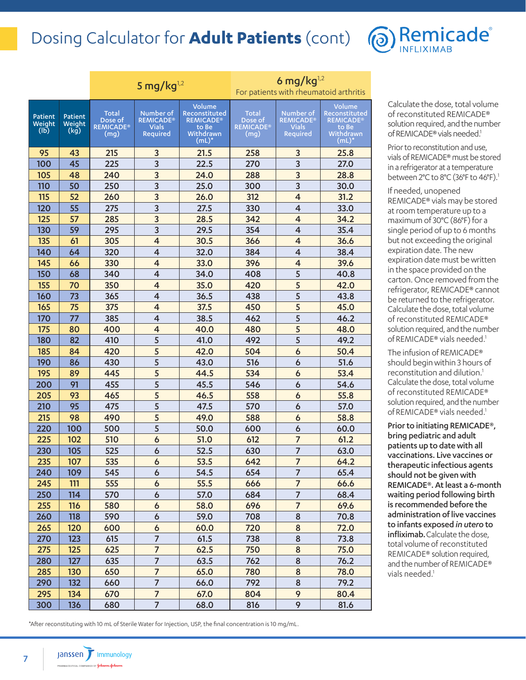### Dosing Calculator for **Adult Patients** (cont)



|                           |                           |                                                     | 5 mg/kg $^{1,2}$                                                     |                                                                                       | 6 mg/kg $^{1,2}$<br>For patients with rheumatoid arthritis |                                                           |                                                                            |
|---------------------------|---------------------------|-----------------------------------------------------|----------------------------------------------------------------------|---------------------------------------------------------------------------------------|------------------------------------------------------------|-----------------------------------------------------------|----------------------------------------------------------------------------|
| Patient<br>Weight<br>(Ib) | Patient<br>Weight<br>(kg) | <b>Total</b><br>Dose of<br><b>REMICADE®</b><br>(mg) | Number of<br><b>REMICADE<sup>®</sup></b><br><b>Vials</b><br>Required | Volume<br>Reconstituted<br><b>REMICADE<sup>®</sup></b><br>to Be<br>Withdrawn<br>(mL)* | Total<br>Dose of<br><b>REMICADE®</b><br>(mg)               | Number of<br><b>REMICADE®</b><br><b>Vials</b><br>Required | Volume<br>Reconstituted<br><b>REMICADE®</b><br>to Be<br>Withdrawn<br>(mL)* |
| 95                        | 43                        | 215                                                 | 3                                                                    | 21.5                                                                                  | 258                                                        | 3                                                         | 25.8                                                                       |
| 100                       | 45                        | 225                                                 | 3                                                                    | 22.5                                                                                  | 270                                                        | 3                                                         | 27.0                                                                       |
| 105                       | 48                        | 240                                                 | 3                                                                    | 24.0                                                                                  | 288                                                        | 3                                                         | 28.8                                                                       |
| 110                       | 50                        | 250                                                 | 3                                                                    | 25.0                                                                                  | 300                                                        | 3                                                         | 30.0                                                                       |
| 115                       | 52                        | 260                                                 | 3                                                                    | 26.0                                                                                  | 312                                                        | $\overline{4}$                                            | 31.2                                                                       |
| 120                       | 55                        | 275                                                 | $\overline{3}$                                                       | 27.5                                                                                  | 330                                                        | 4                                                         | 33.0                                                                       |
| 125                       | 57                        | 285                                                 | $\overline{3}$                                                       | 28.5                                                                                  | 342                                                        | 4                                                         | 34.2                                                                       |
| 130                       | 59                        | 295                                                 | 3                                                                    | 29.5                                                                                  | 354                                                        | 4                                                         | 35.4                                                                       |
| 135                       | 61                        | 305                                                 | $\overline{4}$                                                       | 30.5                                                                                  | 366                                                        | $\overline{\mathbf{4}}$                                   | 36.6                                                                       |
| 140                       | 64                        | 320                                                 | 4                                                                    | 32.0                                                                                  | 384                                                        | $\overline{4}$                                            | 38.4                                                                       |
| 145                       | 66                        | 330                                                 | $\overline{4}$                                                       | 33.0                                                                                  | 396                                                        | $\overline{4}$                                            | 39.6                                                                       |
| 150                       | 68                        | 340                                                 | 4                                                                    | 34.0                                                                                  | 408                                                        | 5                                                         | 40.8                                                                       |
| 155                       | 70                        | 350                                                 | $\overline{4}$                                                       | 35.0                                                                                  | 420                                                        | 5                                                         | 42.0                                                                       |
| 160                       | 73                        | 365                                                 | 4                                                                    | 36.5                                                                                  | 438                                                        | 5                                                         | 43.8                                                                       |
| 165                       | 75                        | 375                                                 | $\overline{4}$                                                       | 37.5                                                                                  | 450                                                        | 5                                                         | 45.0                                                                       |
| 170                       | 77                        | 385                                                 | 4                                                                    | 38.5                                                                                  | 462                                                        | 5                                                         | 46.2                                                                       |
| 175                       | 80                        | 400                                                 | $\overline{4}$                                                       | 40.0                                                                                  | 480                                                        | 5                                                         | 48.0                                                                       |
| 180                       | 82                        | 410                                                 | 5                                                                    | 41.0                                                                                  | 492                                                        | 5                                                         | 49.2                                                                       |
| 185                       | 84                        | 420                                                 | 5                                                                    | 42.0                                                                                  | 504                                                        | 6                                                         | 50.4                                                                       |
| 190                       | 86                        | 430                                                 | 5                                                                    | 43.0                                                                                  | 516                                                        | 6                                                         | 51.6                                                                       |
| 195                       | 89                        | 445                                                 | 5                                                                    | 44.5                                                                                  | 534                                                        | 6                                                         | 53.4                                                                       |
| 200                       | 91                        | 455                                                 | 5                                                                    | 45.5                                                                                  | 546                                                        | 6                                                         | 54.6                                                                       |
| 205                       | 93                        | 465                                                 | 5                                                                    | 46.5                                                                                  | 558                                                        | 6                                                         | 55.8                                                                       |
| 210                       | 95                        | 475                                                 | 5                                                                    | 47.5                                                                                  | 570                                                        | 6                                                         | 57.0                                                                       |
| 215                       | 98                        | 490                                                 | 5                                                                    | 49.0                                                                                  | 588                                                        | 6                                                         | 58.8                                                                       |
| 220                       | 100                       | 500                                                 | 5                                                                    | 50.0                                                                                  | 600                                                        | 6                                                         | 60.0                                                                       |
| 225                       | 102                       | 510                                                 | 6                                                                    | 51.0                                                                                  | 612                                                        | $\overline{7}$                                            | 61.2                                                                       |
| 230                       | 105                       | 525                                                 | 6                                                                    | 52.5                                                                                  | 630                                                        | $\overline{7}$                                            | 63.0                                                                       |
| 235                       | 107                       | 535                                                 | 6                                                                    | 53.5                                                                                  | 642                                                        | $\overline{7}$                                            | 64.2                                                                       |
| 240                       | 109                       | 545                                                 | 6                                                                    | 54.5                                                                                  | 654                                                        | $\overline{7}$                                            | 65.4                                                                       |
| 245                       | 111                       | 555                                                 | $\boldsymbol{6}$                                                     | 55.5                                                                                  | 666                                                        | $\overline{7}$                                            | 66.6                                                                       |
| 250                       | 114                       | 570                                                 | 6                                                                    | 57.0                                                                                  | 684                                                        | $\overline{7}$                                            | 68.4                                                                       |
| 255                       | 116                       | 580                                                 | 6                                                                    | 58.0                                                                                  | 696                                                        | $\overline{7}$                                            | 69.6                                                                       |
| 260                       | 118                       | 590                                                 | 6                                                                    | 59.0                                                                                  | 708                                                        | 8                                                         | 70.8                                                                       |
| 265                       | 120                       | 600                                                 | 6                                                                    | 60.0                                                                                  | 720                                                        | 8                                                         | 72.0                                                                       |
| 270                       | 123                       | 615                                                 | 7                                                                    | 61.5                                                                                  | 738                                                        | 8                                                         | 73.8                                                                       |
| 275                       | 125                       | 625                                                 | $\overline{7}$                                                       | 62.5                                                                                  | 750                                                        | 8                                                         | 75.0                                                                       |
| 280                       | 127                       | 635                                                 | $\overline{7}$                                                       | 63.5                                                                                  | 762                                                        | 8                                                         | 76.2                                                                       |
| 285                       | 130                       | 650                                                 | $\overline{7}$                                                       | 65.0                                                                                  | 780                                                        | 8                                                         | 78.0                                                                       |
| 290                       | 132                       | 660                                                 | $\overline{7}$                                                       | 66.0                                                                                  | 792                                                        | 8                                                         | 79.2                                                                       |
| 295                       | 134                       | 670                                                 | $\overline{7}$                                                       | 67.0                                                                                  | 804                                                        | 9                                                         | 80.4                                                                       |
| 300                       | 136                       | 680                                                 | $\overline{7}$                                                       | 68.0                                                                                  | 816                                                        | 9                                                         | 81.6                                                                       |

Calculate the dose, total volume of reconstituted REMICADE® solution required, and the number of REMICADE® vials needed.<sup>1</sup>

Prior to reconstitution and use, vials of REMICADE® must be stored in a refrigerator at a temperature between 2°C to 8°C (36°F to 46°F). 1

If needed, unopened REMICADE® vials may be stored at room temperature up to a maximum of 30°C (86°F) for a single period of up to 6 months but not exceeding the original expiration date. The new expiration date must be written in the space provided on the carton. Once removed from the refrigerator, REMICADE® cannot be returned to the refrigerator. Calculate the dose, total volume of reconstituted REMICADE® solution required, and the number of REMICADE® vials needed.<sup>1</sup>

The infusion of REMICADE® should begin within 3 hours of reconstitution and dilution.<sup>1</sup> Calculate the dose, total volume of reconstituted REMICADE® solution required, and the number of REMICADE® vials needed.<sup>1</sup>

Prior to initiating REMICADE®, bring pediatric and adult patients up to date with all vaccinations. Live vaccines or therapeutic infectious agents should not be given with REMICADE®. At least a 6-month waiting period following birth is recommended before the administration of live vaccines to infants exposed *in utero* to infliximab. Calculate the dose, total volume of reconstituted REMICADE® solution required, and the number of REMICADE® vials needed.<sup>1</sup>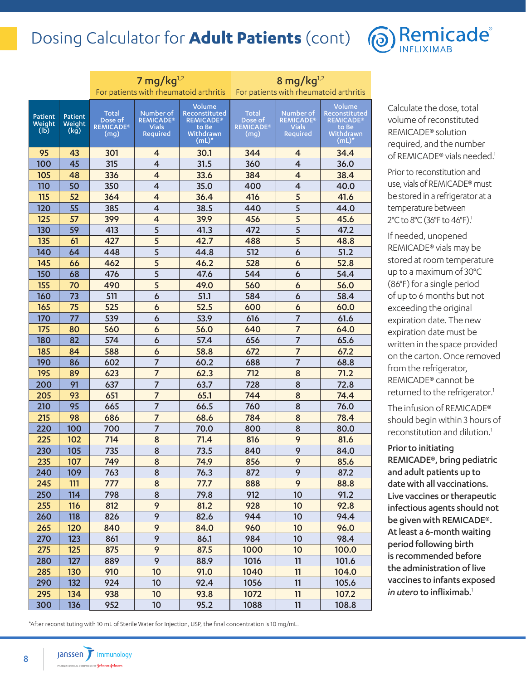### Dosing Calculator for **Adult Patients** (cont)



|                           |                           |                                              | 7 mg/kg $^{1,2}$                                          | For patients with rheumatoid arthritis                                     | 8 mg/kg $^{1,2}$<br>For patients with rheumatoid arthritis |                                                           |                                                                            |
|---------------------------|---------------------------|----------------------------------------------|-----------------------------------------------------------|----------------------------------------------------------------------------|------------------------------------------------------------|-----------------------------------------------------------|----------------------------------------------------------------------------|
| Patient<br>Weight<br>(Ib) | Patient<br>Weight<br>(kg) | Total<br>Dose of<br><b>REMICADE®</b><br>(mg) | Number of<br><b>REMICADE®</b><br><b>Vials</b><br>Required | Volume<br>Reconstituted<br><b>REMICADE®</b><br>to Be<br>Withdrawn<br>(mL)* | Total<br>Dose of<br><b>REMICADE®</b><br>(mq)               | Number of<br><b>REMICADE®</b><br><b>Vials</b><br>Required | Volume<br>Reconstituted<br><b>REMICADE®</b><br>to Be<br>Withdrawn<br>(mL)* |
| 95                        | 43                        | 301                                          | 4                                                         | 30.1                                                                       | 344                                                        | 4                                                         | 34.4                                                                       |
| 100                       | 45                        | 315                                          | $\overline{4}$                                            | 31.5                                                                       | 360                                                        | $\overline{4}$                                            | 36.0                                                                       |
| 105                       | 48                        | 336                                          | $\overline{4}$                                            | 33.6                                                                       | 384                                                        | $\overline{4}$                                            | 38.4                                                                       |
| 110                       | 50                        | 350                                          | 4                                                         | 35.0                                                                       | 400                                                        | 4                                                         | 40.0                                                                       |
| 115                       | 52                        | 364                                          | $\overline{\mathbf{4}}$                                   | 36.4                                                                       | 416                                                        | 5                                                         | 41.6                                                                       |
| 120                       | 55                        | 385                                          | 4                                                         | 38.5                                                                       | 440                                                        | 5                                                         | 44.0                                                                       |
| 125                       | 57                        | 399                                          | $\overline{\mathbf{4}}$                                   | 39.9                                                                       | 456                                                        | 5                                                         | 45.6                                                                       |
| 130                       | 59                        | 413                                          | 5                                                         | 41.3                                                                       | 472                                                        | 5                                                         | 47.2                                                                       |
| 135                       | 61                        | 427                                          | 5                                                         | 42.7                                                                       | 488                                                        | 5                                                         | 48.8                                                                       |
| 140                       | 64                        | 448                                          | 5                                                         | 44.8                                                                       | 512                                                        | 6                                                         | 51.2                                                                       |
| 145                       | 66                        | 462                                          | 5                                                         | 46.2                                                                       | 528                                                        | 6                                                         | 52.8                                                                       |
| 150                       | 68                        | 476                                          | 5                                                         | 47.6                                                                       | 544                                                        | 6                                                         | 54.4                                                                       |
| 155                       | 70                        | 490                                          | 5                                                         | 49.0                                                                       | 560                                                        | 6                                                         | 56.0                                                                       |
| 160                       | 73                        | 511                                          | $\mathbf 6$                                               | 51.1                                                                       | 584                                                        | 6                                                         | 58.4                                                                       |
| 165                       | 75                        | 525                                          | 6                                                         | 52.5                                                                       | 600                                                        | 6                                                         | 60.0                                                                       |
| 170                       | 77                        | 539                                          | 6                                                         | 53.9                                                                       | 616                                                        | $\overline{7}$                                            | 61.6                                                                       |
| 175                       | 80                        | 560                                          | 6                                                         | 56.0                                                                       | 640                                                        | $\overline{7}$                                            | 64.0                                                                       |
| 180                       | 82                        | 574                                          | 6                                                         | 57.4                                                                       | 656                                                        | $\overline{7}$                                            | 65.6                                                                       |
| 185                       | 84                        | 588                                          | 6                                                         | 58.8                                                                       | 672                                                        | $\overline{7}$                                            | 67.2                                                                       |
| 190                       | 86                        | 602                                          | $\overline{7}$                                            | 60.2                                                                       | 688                                                        | 7                                                         | 68.8                                                                       |
| 195                       | 89                        | 623                                          | $\overline{7}$                                            | 62.3                                                                       | 712                                                        | 8                                                         | 71.2                                                                       |
| 200                       | 91                        | 637                                          | $\overline{7}$                                            | 63.7                                                                       | 728                                                        | 8                                                         | 72.8                                                                       |
| 205                       | 93                        | 651                                          | $\overline{7}$                                            | 65.1                                                                       | 744                                                        | 8                                                         | 74.4                                                                       |
| 210                       | 95                        | 665                                          | $\overline{7}$                                            | 66.5                                                                       | 760                                                        | 8                                                         | 76.0                                                                       |
| 215                       | 98                        | 686                                          | 7                                                         | 68.6                                                                       | 784                                                        | 8                                                         | 78.4                                                                       |
| 220                       | 100                       | 700                                          | $\overline{7}$                                            | 70.0                                                                       | 800                                                        | 8                                                         | 80.0                                                                       |
| 225                       | 102                       | 714                                          | 8                                                         | 71.4                                                                       | 816                                                        | 9                                                         | 81.6                                                                       |
| 230                       | 105                       | 735                                          | 8                                                         | 73.5                                                                       | 840                                                        | 9                                                         | 84.0                                                                       |
| 235                       | 107                       | 749                                          | 8                                                         | 74.9                                                                       | 856                                                        | 9                                                         | 85.6                                                                       |
| 240                       | 109                       | 763                                          | 8                                                         | 76.3                                                                       | 872                                                        | 9                                                         | 87.2                                                                       |
| 245                       | 111                       | 777                                          | 8                                                         | 77.7                                                                       | 888                                                        | 9                                                         | 88.8                                                                       |
| 250                       | 114                       | 798                                          | 8                                                         | 79.8                                                                       | 912                                                        | 10                                                        | 91.2                                                                       |
| 255                       | 116                       | 812                                          | 9                                                         | 81.2                                                                       | 928                                                        | 10                                                        | 92.8                                                                       |
| 260                       | 118                       | 826                                          | 9                                                         | 82.6                                                                       | 944                                                        | 10                                                        | 94.4                                                                       |
| 265                       | 120                       | 840                                          | 9                                                         | 84.0                                                                       | 960                                                        | 10                                                        | 96.0                                                                       |
| 270                       | 123                       | 861                                          | 9                                                         | 86.1                                                                       | 984                                                        | 10                                                        | 98.4                                                                       |
| 275                       | 125                       | 875                                          | 9                                                         | 87.5                                                                       | 1000                                                       | 10                                                        | 100.0                                                                      |
| 280                       | 127                       | 889                                          | 9                                                         | 88.9                                                                       | 1016                                                       | 11                                                        | 101.6                                                                      |
| 285                       | 130                       | 910                                          | 10                                                        | 91.0                                                                       | 1040                                                       | 11                                                        | 104.0                                                                      |
| 290                       | 132                       | 924                                          | 10                                                        | 92.4                                                                       | 1056                                                       | 11                                                        | 105.6                                                                      |
| 295                       | 134                       | 938                                          | 10                                                        | 93.8                                                                       | 1072                                                       | 11                                                        | 107.2                                                                      |
| 300                       | 136                       | 952                                          | 10                                                        | 95.2                                                                       | 1088                                                       | 11                                                        | 108.8                                                                      |

Calculate the dose, total volume of reconstituted REMICADE® solution required, and the number of REMICADE® vials needed.<sup>1</sup>

Prior to reconstitution and use, vials of REMICADE® must be stored in a refrigerator at a temperature between 2°C to 8°C (36°F to 46°F).<sup>1</sup>

If needed, unopened REMICADE® vials may be stored at room temperature up to a maximum of 30°C (86°F) for a single period of up to 6 months but not exceeding the original expiration date. The new expiration date must be written in the space provided on the carton. Once removed from the refrigerator, REMICADE® cannot be returned to the refrigerator.<sup>1</sup>

The infusion of REMICADE® should begin within 3 hours of reconstitution and dilution.<sup>1</sup>

Prior to initiating REMICADE®, bring pediatric and adult patients up to date with all vaccinations. Live vaccines or therapeutic infectious agents should not be given with REMICADE®. At least a 6-month waiting period following birth is recommended before the administration of live vaccines to infants exposed *in utero* to infliximab.<sup>1</sup>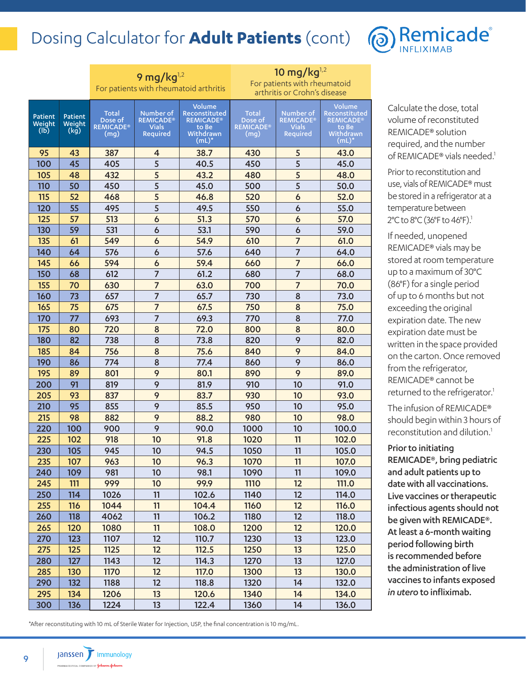### Dosing Calculator for **Adult Patients** (cont)



|                           |                           | 9 mg/ $kg^{1,2}$                                    |                                                    |                                                                                       | 10 mg/ $kg^{1,2}$                            |                                                    |                                                                            |
|---------------------------|---------------------------|-----------------------------------------------------|----------------------------------------------------|---------------------------------------------------------------------------------------|----------------------------------------------|----------------------------------------------------|----------------------------------------------------------------------------|
|                           |                           | For patients with rheumatoid arthritis              |                                                    |                                                                                       | For patients with rheumatoid                 |                                                    |                                                                            |
|                           |                           |                                                     |                                                    |                                                                                       |                                              | arthritis or Crohn's disease                       |                                                                            |
| Patient<br>Weight<br>(Ib) | Patient<br>Weight<br>(kg) | <b>Total</b><br>Dose of<br><b>REMICADE®</b><br>(mq) | Number of<br><b>REMICADE®</b><br>Vials<br>Required | Volume<br>Reconstituted<br><b>REMICADE<sup>®</sup></b><br>to Be<br>Withdrawn<br>(mL)* | Total<br>Dose of<br><b>REMICADE®</b><br>(mg) | Number of<br><b>REMICADE®</b><br>Vials<br>Required | Volume<br>Reconstituted<br><b>REMICADE®</b><br>to Be<br>Withdrawn<br>(mL)' |
| 95                        | 43                        | 387                                                 | 4                                                  | 38.7                                                                                  | 430                                          | 5                                                  | 43.0                                                                       |
| 100                       | 45                        | 405                                                 | 5                                                  | 40.5                                                                                  | 450                                          | 5                                                  | 45.0                                                                       |
| 105                       | 48                        | 432                                                 | 5                                                  | 43.2                                                                                  | 480                                          | 5                                                  | 48.0                                                                       |
| 110                       | 50                        | 450                                                 | 5                                                  | 45.0                                                                                  | 500                                          | 5                                                  | 50.0                                                                       |
| 115                       | 52                        | 468                                                 | 5                                                  | 46.8                                                                                  | 520                                          | 6                                                  | 52.0                                                                       |
| 120                       | 55                        | 495                                                 | 5                                                  | 49.5                                                                                  | 550                                          | 6                                                  | 55.0                                                                       |
| 125                       | 57                        | 513                                                 | 6                                                  | 51.3                                                                                  | 570                                          | 6                                                  | 57.0                                                                       |
| 130                       | 59                        | 531                                                 | 6                                                  | 53.1                                                                                  | 590                                          | 6                                                  | 59.0                                                                       |
| 135                       | 61                        | 549                                                 | 6                                                  | 54.9                                                                                  | 610                                          | $\overline{7}$                                     | 61.0                                                                       |
| 140                       | 64                        | 576                                                 | 6                                                  | 57.6                                                                                  | 640                                          | $\overline{7}$                                     | 64.0                                                                       |
| 145                       | 66                        | 594                                                 | 6                                                  | 59.4                                                                                  | 660                                          | $\overline{7}$                                     | 66.0                                                                       |
| 150                       | 68                        | 612                                                 | $\overline{7}$                                     | 61.2                                                                                  | 680                                          | $\overline{7}$                                     | 68.0                                                                       |
| 155                       | 70                        | 630                                                 | $\overline{7}$                                     | 63.0                                                                                  | 700                                          | $\overline{7}$                                     | 70.0                                                                       |
| 160                       | 73                        | 657                                                 | $\overline{7}$                                     | 65.7                                                                                  | 730                                          | 8                                                  | 73.0                                                                       |
| 165                       | 75                        | 675                                                 | $\overline{7}$                                     | 67.5                                                                                  | 750                                          | 8                                                  | 75.0                                                                       |
| 170                       | 77                        | 693                                                 | $\overline{7}$                                     | 69.3                                                                                  | 770                                          | 8                                                  | 77.0                                                                       |
| 175                       | 80                        | 720                                                 | 8                                                  | 72.0                                                                                  | 800                                          | 8                                                  | 80.0                                                                       |
| 180                       | 82                        | 738                                                 | 8                                                  | 73.8                                                                                  | 820                                          | 9                                                  | 82.0                                                                       |
| 185                       | 84                        | 756                                                 | 8                                                  | 75.6                                                                                  | 840                                          | 9                                                  | 84.0                                                                       |
| 190                       | 86                        | 774                                                 | 8                                                  | 77.4                                                                                  | 860                                          | 9                                                  | 86.0                                                                       |
| 195                       | 89                        | 801                                                 | 9                                                  | 80.1                                                                                  | 890                                          | 9                                                  | 89.0                                                                       |
| 200                       | 91                        | 819                                                 | 9                                                  | 81.9                                                                                  | 910                                          | 10                                                 | 91.0                                                                       |
| 205                       | 93                        | 837                                                 | 9                                                  | 83.7                                                                                  | 930                                          | 10                                                 | 93.0                                                                       |
| 210                       | 95                        | 855                                                 | 9                                                  | 85.5                                                                                  | 950                                          | 10                                                 | 95.0                                                                       |
| 215                       | 98                        | 882                                                 | 9                                                  | 88.2                                                                                  | 980                                          | 10                                                 | 98.0                                                                       |
| 220                       | 100                       | 900                                                 | 9                                                  | 90.0                                                                                  | 1000                                         | 10                                                 | 100.0                                                                      |
| 225                       | 102                       | 918                                                 | 10                                                 | 91.8                                                                                  | 1020                                         | 11                                                 | 102.0                                                                      |
| 230                       | 105                       | 945                                                 | 10                                                 | 94.5                                                                                  | 1050                                         | 11                                                 | 105.0                                                                      |
| 235                       | 107                       | 963                                                 | 10                                                 | 96.3                                                                                  | 1070                                         | 11                                                 | 107.0                                                                      |
| 240                       | 109                       | 981                                                 | 10                                                 | 98.1                                                                                  | 1090                                         | 11                                                 | 109.0                                                                      |
| 245                       | 111                       | 999                                                 | 10                                                 | 99.9                                                                                  | 1110                                         | 12                                                 | <b>111.0</b>                                                               |
| 250                       | 114                       | 1026                                                | 11                                                 | 102.6                                                                                 | 1140                                         | 12                                                 | 114.0                                                                      |
| 255                       | 116                       | 1044                                                | 11                                                 | 104.4                                                                                 | 1160                                         | 12                                                 | 116.0                                                                      |
| 260                       | 118                       | 4062                                                | 11                                                 | 106.2                                                                                 | 1180                                         | 12                                                 | 118.0                                                                      |
| 265                       | 120                       | 1080                                                | 11                                                 | 108.0                                                                                 | 1200                                         | 12                                                 | 120.0                                                                      |
| 270                       | 123                       | 1107                                                | 12                                                 | 110.7                                                                                 | 1230                                         | 13                                                 | 123.0                                                                      |
| 275                       | 125                       | 1125                                                | 12                                                 | 112.5                                                                                 | 1250                                         | 13                                                 | 125.0                                                                      |
| 280                       | 127                       | 1143                                                | 12                                                 | 114.3                                                                                 | 1270                                         | 13                                                 | 127.0                                                                      |
| 285                       | 130                       | 1170                                                | 12                                                 | 117.0                                                                                 | 1300                                         | 13                                                 | 130.0                                                                      |
| 290<br>295                | 132                       | 1188                                                | 12                                                 | 118.8                                                                                 | 1320                                         | 14                                                 | 132.0                                                                      |
|                           | 134                       | 1206                                                | 13                                                 | 120.6                                                                                 | 1340                                         | 14                                                 | 134.0                                                                      |
| 300                       | 136                       | 1224                                                | 13                                                 | 122.4                                                                                 | 1360                                         | 14                                                 | 136.0                                                                      |

Calculate the dose, total volume of reconstituted REMICADE® solution required, and the number of REMICADE® vials needed.<sup>1</sup>

Prior to reconstitution and use, vials of REMICADE® must be stored in a refrigerator at a temperature between 2°C to 8°C (36°F to 46°F).<sup>1</sup>

If needed, unopened REMICADE® vials may be stored at room temperature up to a maximum of 30°C (86°F) for a single period of up to 6 months but not exceeding the original expiration date. The new expiration date must be written in the space provided on the carton. Once removed from the refrigerator, REMICADE® cannot be returned to the refrigerator.<sup>1</sup>

The infusion of REMICADE® should begin within 3 hours of reconstitution and dilution.<sup>1</sup>

Prior to initiating REMICADE®, bring pediatric and adult patients up to date with all vaccinations. Live vaccines or therapeutic infectious agents should not be given with REMICADE®. At least a 6-month waiting period following birth is recommended before the administration of live vaccines to infants exposed *in utero* to infliximab.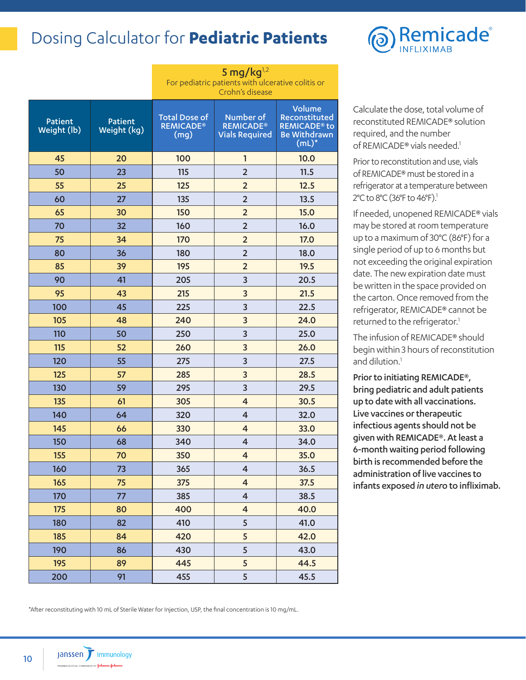### Dosing Calculator for **Pediatric Patients**

|                        |                        | 5 mg/kg $^{1,2}$<br>For pediatric patients with ulcerative colitis or<br>Crohn's disease |                                                        |                                                                                              |  |  |
|------------------------|------------------------|------------------------------------------------------------------------------------------|--------------------------------------------------------|----------------------------------------------------------------------------------------------|--|--|
| Patient<br>Weight (lb) | Patient<br>Weight (kg) | <b>Total Dose of</b><br><b>REMICADE®</b><br>(mg)                                         | Number of<br><b>REMICADE®</b><br><b>Vials Required</b> | Volume<br>Reconstituted<br><b>REMICADE<sup>®</sup> to</b><br><b>Be Withdrawn</b><br>$(mL)^*$ |  |  |
| 45                     | 20                     | 100                                                                                      | 1                                                      | 10.0                                                                                         |  |  |
| 50                     | 23                     | 115                                                                                      | $\overline{2}$                                         | 11.5                                                                                         |  |  |
| 55                     | 25                     | 125                                                                                      | $\overline{2}$                                         | 12.5                                                                                         |  |  |
| 60                     | 27                     | 135                                                                                      | $\overline{2}$                                         | 13.5                                                                                         |  |  |
| 65                     | 30                     | 150                                                                                      | $\overline{2}$                                         | 15.0                                                                                         |  |  |
| 70                     | 32                     | 160                                                                                      | $\overline{2}$                                         | 16.0                                                                                         |  |  |
| 75                     | 34                     | 170                                                                                      | $\overline{2}$                                         | 17.0                                                                                         |  |  |
| 80                     | 36                     | 180                                                                                      | $\overline{2}$                                         | 18.0                                                                                         |  |  |
| 85                     | 39                     | 195                                                                                      | $\overline{2}$                                         | 19.5                                                                                         |  |  |
| 90                     | 41                     | 205                                                                                      | 3                                                      | 20.5                                                                                         |  |  |
| 95                     | 43                     | 215                                                                                      | 3                                                      | 21.5                                                                                         |  |  |
| 100                    | 45                     | 225                                                                                      | 3                                                      | 22.5                                                                                         |  |  |
| 105                    | 48                     | 240                                                                                      | 3                                                      | 24.0                                                                                         |  |  |
| 110                    | 50                     | 250                                                                                      | 3                                                      | 25.0                                                                                         |  |  |
| 115                    | 52                     | 260                                                                                      | 3                                                      | 26.0                                                                                         |  |  |
| 120                    | 55                     | 275                                                                                      | 3                                                      | 27.5                                                                                         |  |  |
| 125                    | 57                     | 285                                                                                      | 3                                                      | 28.5                                                                                         |  |  |
| 130                    | 59                     | 295                                                                                      | 3                                                      | 29.5                                                                                         |  |  |
| 135                    | 61                     | 305                                                                                      | 4                                                      | 30.5                                                                                         |  |  |
| 140                    | 64                     | 320                                                                                      | 4                                                      | 32.0                                                                                         |  |  |
| 145                    | 66                     | 330                                                                                      | 4                                                      | 33.0                                                                                         |  |  |
| 150                    | 68                     | 340                                                                                      | 4                                                      | 34.0                                                                                         |  |  |
| 155                    | 70                     | 350                                                                                      | $\overline{4}$                                         | 35.0                                                                                         |  |  |
| 160                    | 73                     | 365                                                                                      | 4                                                      | 36.5                                                                                         |  |  |
| 165                    | 75                     | 375                                                                                      | $\overline{\mathbf{4}}$                                | 37.5                                                                                         |  |  |
| 170                    | 77                     | 385                                                                                      | $\overline{\mathbf{4}}$                                | 38.5                                                                                         |  |  |
| 175                    | 80                     | 400                                                                                      | $\overline{\mathbf{4}}$                                | 40.0                                                                                         |  |  |
| 180                    | 82                     | 410                                                                                      | 5                                                      | 41.0                                                                                         |  |  |
| 185                    | 84                     | 420                                                                                      | 5                                                      | 42.0                                                                                         |  |  |
| 190                    | 86                     | 430                                                                                      | 5                                                      | 43.0                                                                                         |  |  |
| 195                    | 89                     | 445                                                                                      | 5                                                      | 44.5                                                                                         |  |  |
| 200                    | 91                     | 455                                                                                      | 5                                                      | 45.5                                                                                         |  |  |



Calculate the dose, total volume of reconstituted REMICADE® solution required, and the number of REMICADE® vials needed.<sup>1</sup>

Prior to reconstitution and use, vials of REMICADE® must be stored in a refrigerator at a temperature between 2°C to 8°C (36°F to 46°F).<sup>1</sup>

If needed, unopened REMICADE® vials may be stored at room temperature up to a maximum of 30°C (86°F) for a single period of up to 6 months but not exceeding the original expiration date. The new expiration date must be written in the space provided on the carton. Once removed from the refrigerator, REMICADE® cannot be returned to the refrigerator.<sup>1</sup>

The infusion of REMICADE® should begin within 3 hours of reconstitution and dilution.<sup>1</sup>

Prior to initiating REMICADE®, bring pediatric and adult patients up to date with all vaccinations. Live vaccines or therapeutic infectious agents should not be given with REMICADE®. At least a 6-month waiting period following birth is recommended before the administration of live vaccines to infants exposed *in utero* to infliximab.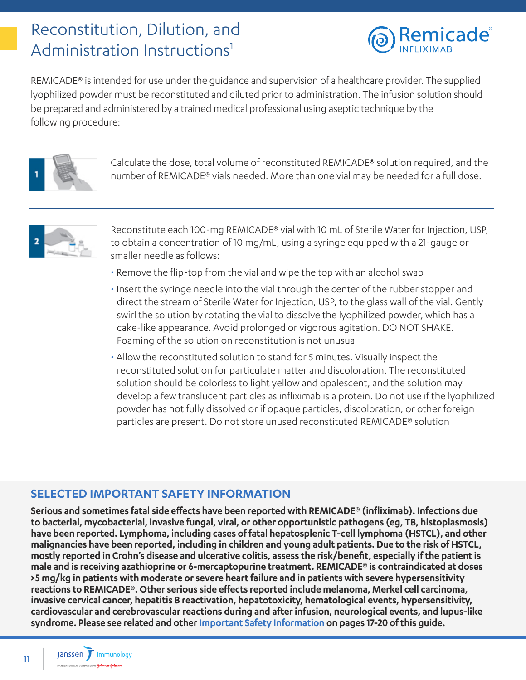### <span id="page-10-0"></span>Reconstitution, Dilution, and Administration Instructions<sup>1</sup>



REMICADE® is intended for use under the guidance and supervision of a healthcare provider. The supplied lyophilized powder must be reconstituted and diluted prior to administration. The infusion solution should be prepared and administered by a trained medical professional using aseptic technique by the following procedure:



Calculate the dose, total volume of reconstituted REMICADE® solution required, and the number of REMICADE® vials needed. More than one vial may be needed for a full dose.



Reconstitute each 100-mg REMICADE® vial with 10 mL of Sterile Water for Injection, USP, to obtain a concentration of 10 mg/mL, using a syringe equipped with a 21-gauge or smaller needle as follows:

- Remove the flip-top from the vial and wipe the top with an alcohol swab
- Insert the syringe needle into the vial through the center of the rubber stopper and direct the stream of Sterile Water for Injection, USP, to the glass wall of the vial. Gently swirl the solution by rotating the vial to dissolve the lyophilized powder, which has a cake-like appearance. Avoid prolonged or vigorous agitation. DO NOT SHAKE. Foaming of the solution on reconstitution is not unusual
- Allow the reconstituted solution to stand for 5 minutes. Visually inspect the reconstituted solution for particulate matter and discoloration. The reconstituted solution should be colorless to light yellow and opalescent, and the solution may develop a few translucent particles as infliximab is a protein. Do not use if the lyophilized powder has not fully dissolved or if opaque particles, discoloration, or other foreign particles are present. Do not store unused reconstituted REMICADE® solution

### **SELECTED IMPORTANT SAFETY INFORMATION**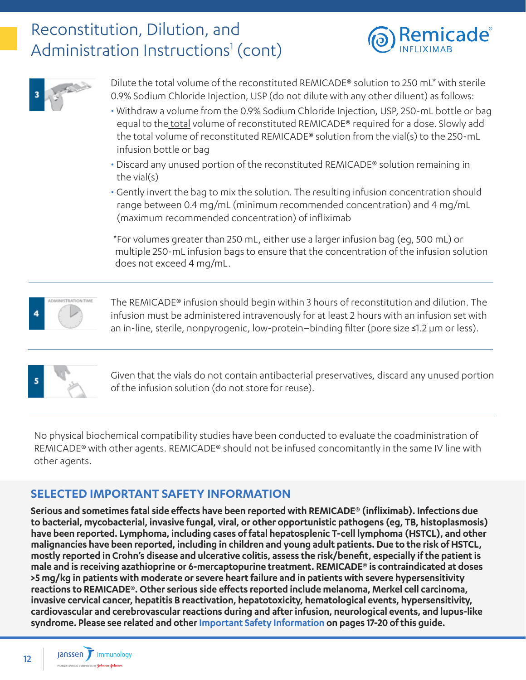### Reconstitution, Dilution, and Administration Instructions<sup>1</sup> (cont)





Dilute the total volume of the reconstituted REMICADE® solution to 250 mL\* with sterile 0.9% Sodium Chloride Injection, USP (do not dilute with any other diluent) as follows:

- Withdraw a volume from the 0.9% Sodium Chloride Injection, USP, 250-mL bottle or bag equal to the total volume of reconstituted REMICADE® required for a dose. Slowly add the total volume of reconstituted REMICADE® solution from the vial(s) to the 250-mL infusion bottle or bag
- Discard any unused portion of the reconstituted REMICADE® solution remaining in the vial(s)
- Gently invert the bag to mix the solution. The resulting infusion concentration should range between 0.4 mg/mL (minimum recommended concentration) and 4 mg/mL (maximum recommended concentration) of infliximab

\*For volumes greater than 250 mL, either use a larger infusion bag (eg, 500 mL) or multiple 250-mL infusion bags to ensure that the concentration of the infusion solution does not exceed 4 mg/mL.



The REMICADE® infusion should begin within 3 hours of reconstitution and dilution. The infusion must be administered intravenously for at least 2 hours with an infusion set with an in-line, sterile, nonpyrogenic, low-protein–binding filter (pore size ≤1.2 µm or less).



Given that the vials do not contain antibacterial preservatives, discard any unused portion of the infusion solution (do not store for reuse).

No physical biochemical compatibility studies have been conducted to evaluate the coadministration of REMICADE® with other agents. REMICADE® should not be infused concomitantly in the same IV line with other agents.

### **SELECTED IMPORTANT SAFETY INFORMATION**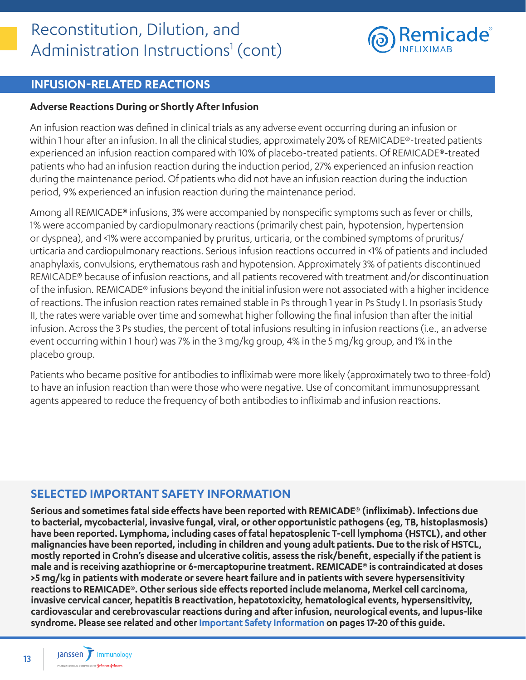

### **INFUSION-RELATED REACTIONS**

#### **Adverse Reactions During or Shortly After Infusion**

An infusion reaction was defined in clinical trials as any adverse event occurring during an infusion or within 1 hour after an infusion. In all the clinical studies, approximately 20% of REMICADE®-treated patients experienced an infusion reaction compared with 10% of placebo-treated patients. Of REMICADE®-treated patients who had an infusion reaction during the induction period, 27% experienced an infusion reaction during the maintenance period. Of patients who did not have an infusion reaction during the induction period, 9% experienced an infusion reaction during the maintenance period.

Among all REMICADE® infusions, 3% were accompanied by nonspecific symptoms such as fever or chills, 1% were accompanied by cardiopulmonary reactions (primarily chest pain, hypotension, hypertension or dyspnea), and <1% were accompanied by pruritus, urticaria, or the combined symptoms of pruritus/ urticaria and cardiopulmonary reactions. Serious infusion reactions occurred in <1% of patients and included anaphylaxis, convulsions, erythematous rash and hypotension. Approximately 3% of patients discontinued REMICADE® because of infusion reactions, and all patients recovered with treatment and/or discontinuation of the infusion. REMICADE® infusions beyond the initial infusion were not associated with a higher incidence of reactions. The infusion reaction rates remained stable in Ps through 1 year in Ps Study I. In psoriasis Study II, the rates were variable over time and somewhat higher following the final infusion than after the initial infusion. Across the 3 Ps studies, the percent of total infusions resulting in infusion reactions (i.e., an adverse event occurring within 1 hour) was 7% in the 3 mg/kg group, 4% in the 5 mg/kg group, and 1% in the placebo group.

Patients who became positive for antibodies to infliximab were more likely (approximately two to three-fold) to have an infusion reaction than were those who were negative. Use of concomitant immunosuppressant agents appeared to reduce the frequency of both antibodies to infliximab and infusion reactions.

### **SELECTED IMPORTANT SAFETY INFORMATION**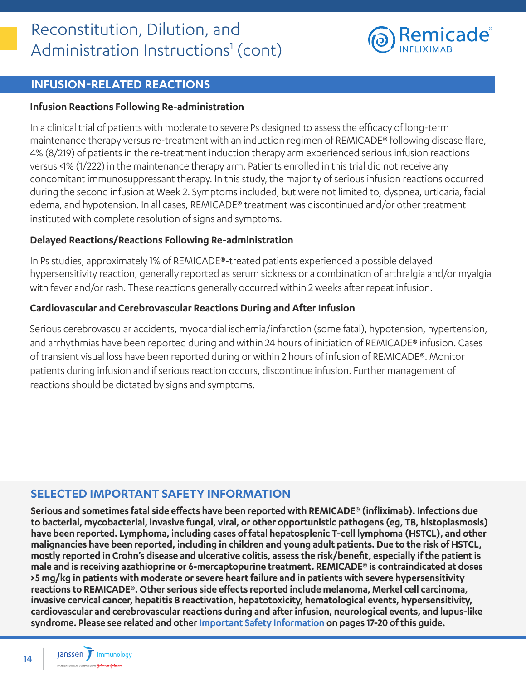

### **INFUSION-RELATED REACTIONS**

#### **Infusion Reactions Following Re-administration**

In a clinical trial of patients with moderate to severe Ps designed to assess the efficacy of long-term maintenance therapy versus re-treatment with an induction regimen of REMICADE® following disease flare, 4% (8/219) of patients in the re-treatment induction therapy arm experienced serious infusion reactions versus <1% (1/222) in the maintenance therapy arm. Patients enrolled in this trial did not receive any concomitant immunosuppressant therapy. In this study, the majority of serious infusion reactions occurred during the second infusion at Week 2. Symptoms included, but were not limited to, dyspnea, urticaria, facial edema, and hypotension. In all cases, REMICADE® treatment was discontinued and/or other treatment instituted with complete resolution of signs and symptoms.

#### **Delayed Reactions/Reactions Following Re-administration**

In Ps studies, approximately 1% of REMICADE®-treated patients experienced a possible delayed hypersensitivity reaction, generally reported as serum sickness or a combination of arthralgia and/or myalgia with fever and/or rash. These reactions generally occurred within 2 weeks after repeat infusion.

#### **Cardiovascular and Cerebrovascular Reactions During and After Infusion**

Serious cerebrovascular accidents, myocardial ischemia/infarction (some fatal), hypotension, hypertension, and arrhythmias have been reported during and within 24 hours of initiation of REMICADE® infusion. Cases of transient visual loss have been reported during or within 2 hours of infusion of REMICADE®. Monitor patients during infusion and if serious reaction occurs, discontinue infusion. Further management of reactions should be dictated by signs and symptoms.

### **SELECTED IMPORTANT SAFETY INFORMATION**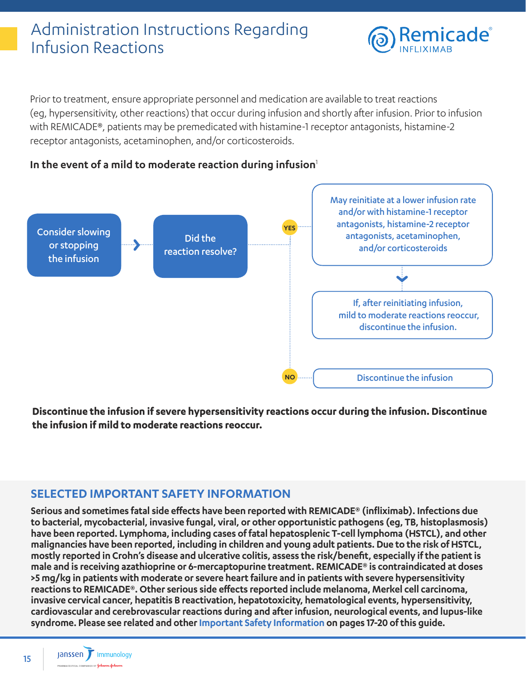### <span id="page-14-0"></span>Administration Instructions Regarding Infusion Reactions



Prior to treatment, ensure appropriate personnel and medication are available to treat reactions (eg, hypersensitivity, other reactions) that occur during infusion and shortly after infusion. Prior to infusion with REMICADE®, patients may be premedicated with histamine-1 receptor antagonists, histamine-2 receptor antagonists, acetaminophen, and/or corticosteroids.





**Discontinue the infusion if severe hypersensitivity reactions occur during the infusion. Discontinue the infusion if mild to moderate reactions reoccur.**

### **SELECTED IMPORTANT SAFETY INFORMATION**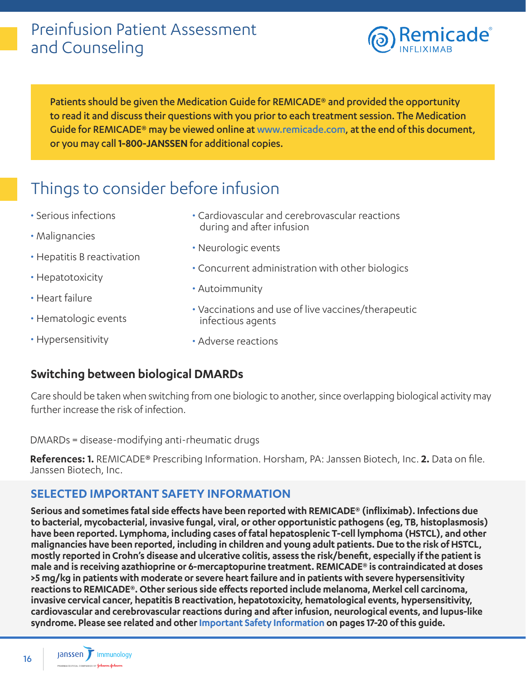### <span id="page-15-0"></span>Preinfusion Patient Assessment and Counseling



Patients should be given the Medication Guide for REMICADE® and provided the opportunity to read it and discuss their questions with you prior to each treatment session. The Medication Guide for REMICADE® may be viewed online at www.remicade.com, at the end of this document, or you may call **1-800-JANSSEN** for additional copies.

### Things to consider before infusion

- Serious infections
- Malignancies
- Hepatitis B reactivation
- Hepatotoxicity
- Heart failure
- Hematologic events
- Hypersensitivity
- Cardiovascular and cerebrovascular reactions during and after infusion
- Neurologic events
- Concurrent administration with other biologics
- Autoimmunity
- Vaccinations and use of live vaccines/therapeutic infectious agents
- Adverse reactions

### **Switching between biological DMARDs**

Care should be taken when switching from one biologic to another, since overlapping biological activity may further increase the risk of infection.

DMARDs = disease-modifying anti-rheumatic drugs

**References: 1.** REMICADE® Prescribing Information. Horsham, PA: Janssen Biotech, Inc. **2.** Data on file. Janssen Biotech, Inc.

### **SELECTED IMPORTANT SAFETY INFORMATION**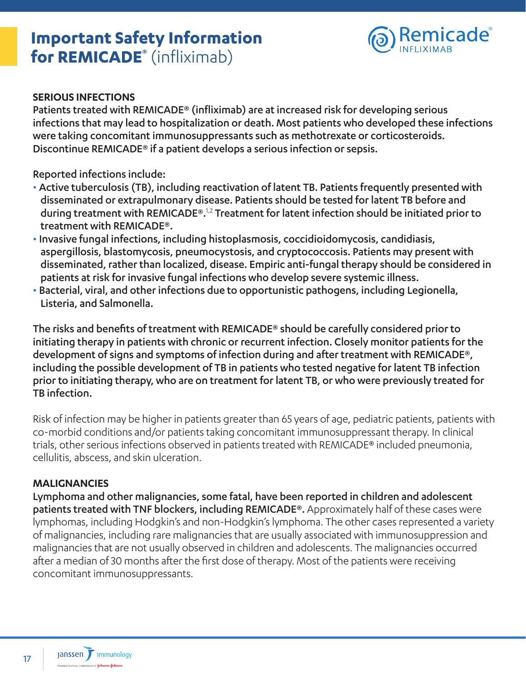### <span id="page-16-0"></span>**Important Safety Information for REMICADE®** (infliximab)



#### **SERIOUS INFECTIONS**

Patients treated with REMICADE® (infliximab) are at increased risk for developing serious infections that may lead to hospitalization or death. Most patients who developed these infections were taking concomitant immunosuppressants such as methotrexate or corticosteroids. Discontinue REMICADE® if a patient develops a serious infection or sepsis.

Reported infections include:

- Active tuberculosis (TB), including reactivation of latent TB. Patients frequently presented with disseminated or extrapulmonary disease. Patients should be tested for latent TB before and during treatment with REMICADE®.<sup>1,2</sup> Treatment for latent infection should be initiated prior to treatment with REMICADE®.
- Invasive fungal infections, including histoplasmosis, coccidioidomycosis, candidiasis, aspergillosis, blastomycosis, pneumocystosis, and cryptococcosis. Patients may present with disseminated, rather than localized, disease. Empiric anti-fungal therapy should be considered in patients at risk for invasive fungal infections who develop severe systemic illness.
- Bacterial, viral, and other infections due to opportunistic pathogens, including Legionella, Listeria, and Salmonella.

The risks and benefits of treatment with REMICADE® should be carefully considered prior to initiating therapy in patients with chronic or recurrent infection. Closely monitor patients for the development of signs and symptoms of infection during and after treatment with REMICADE®, including the possible development of TB in patients who tested negative for latent TB infection prior to initiating therapy, who are on treatment for latent TB, or who were previously treated for TB infection.

Risk of infection may be higher in patients greater than 65 years of age, pediatric patients, patients with co-morbid conditions and/or patients taking concomitant immunosuppressant therapy. In clinical trials, other serious infections observed in patients treated with REMICADE® included pneumonia, cellulitis, abscess, and skin ulceration.

### **MALIGNANCIES**

Lymphoma and other malignancies, some fatal, have been reported in children and adolescent patients treated with TNF blockers, including REMICADE®. Approximately half of these cases were lymphomas, including Hodgkin's and non-Hodgkin's lymphoma. The other cases represented a variety of malignancies, including rare malignancies that are usually associated with immunosuppression and malignancies that are not usually observed in children and adolescents. The malignancies occurred after a median of 30 months after the first dose of therapy. Most of the patients were receiving concomitant immunosuppressants.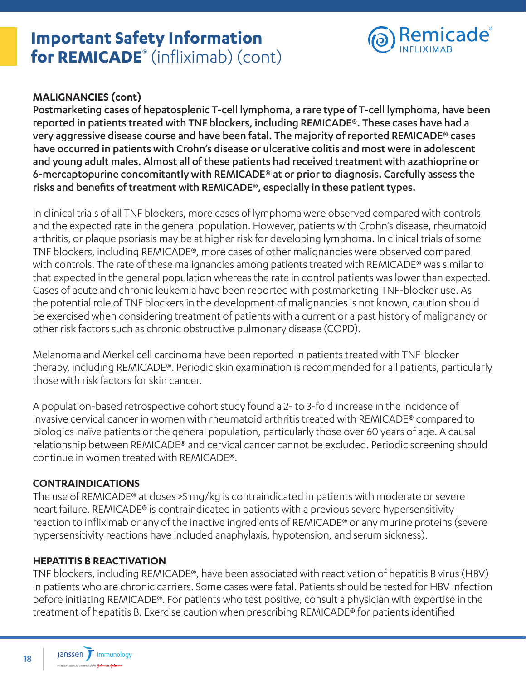### **Important Safety Information for REMICADE®** (infliximab) (cont)



### **MALIGNANCIES (cont)**

Postmarketing cases of hepatosplenic T-cell lymphoma, a rare type of T-cell lymphoma, have been reported in patients treated with TNF blockers, including REMICADE®. These cases have had a very aggressive disease course and have been fatal. The majority of reported REMICADE® cases have occurred in patients with Crohn's disease or ulcerative colitis and most were in adolescent and young adult males. Almost all of these patients had received treatment with azathioprine or 6-mercaptopurine concomitantly with REMICADE® at or prior to diagnosis. Carefully assess the risks and benefits of treatment with REMICADE®, especially in these patient types.

In clinical trials of all TNF blockers, more cases of lymphoma were observed compared with controls and the expected rate in the general population. However, patients with Crohn's disease, rheumatoid arthritis, or plaque psoriasis may be at higher risk for developing lymphoma. In clinical trials of some TNF blockers, including REMICADE®, more cases of other malignancies were observed compared with controls. The rate of these malignancies among patients treated with REMICADE® was similar to that expected in the general population whereas the rate in control patients was lower than expected. Cases of acute and chronic leukemia have been reported with postmarketing TNF-blocker use. As the potential role of TNF blockers in the development of malignancies is not known, caution should be exercised when considering treatment of patients with a current or a past history of malignancy or other risk factors such as chronic obstructive pulmonary disease (COPD).

Melanoma and Merkel cell carcinoma have been reported in patients treated with TNF-blocker therapy, including REMICADE®. Periodic skin examination is recommended for all patients, particularly those with risk factors for skin cancer.

A population-based retrospective cohort study found a 2- to 3-fold increase in the incidence of invasive cervical cancer in women with rheumatoid arthritis treated with REMICADE® compared to biologics-naïve patients or the general population, particularly those over 60 years of age. A causal relationship between REMICADE® and cervical cancer cannot be excluded. Periodic screening should continue in women treated with REMICADE®.

### **CONTRAINDICATIONS**

The use of REMICADE® at doses >5 mg/kg is contraindicated in patients with moderate or severe heart failure. REMICADE® is contraindicated in patients with a previous severe hypersensitivity reaction to infliximab or any of the inactive ingredients of REMICADE® or any murine proteins (severe hypersensitivity reactions have included anaphylaxis, hypotension, and serum sickness).

### **HEPATITIS B REACTIVATION**

TNF blockers, including REMICADE®, have been associated with reactivation of hepatitis B virus (HBV) in patients who are chronic carriers. Some cases were fatal. Patients should be tested for HBV infection before initiating REMICADE®. For patients who test positive, consult a physician with expertise in the treatment of hepatitis B. Exercise caution when prescribing REMICADE® for patients identified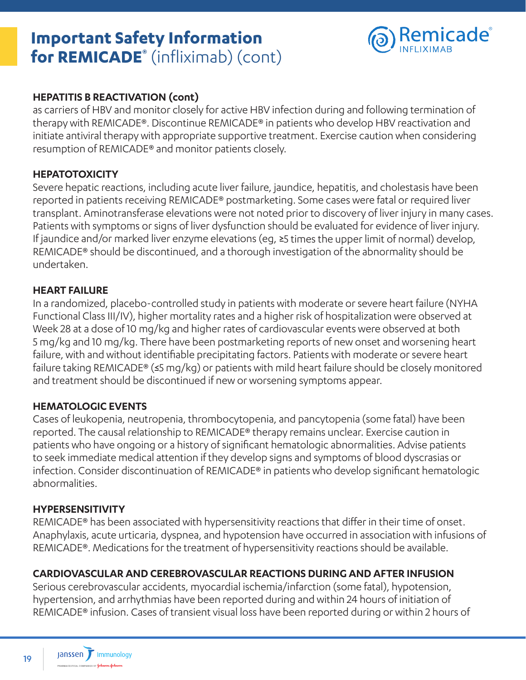### **Important Safety Information for REMICADE®** (infliximab) (cont)



### **HEPATITIS B REACTIVATION (cont)**

as carriers of HBV and monitor closely for active HBV infection during and following termination of therapy with REMICADE®. Discontinue REMICADE® in patients who develop HBV reactivation and initiate antiviral therapy with appropriate supportive treatment. Exercise caution when considering resumption of REMICADE® and monitor patients closely.

### **HEPATOTOXICITY**

Severe hepatic reactions, including acute liver failure, jaundice, hepatitis, and cholestasis have been reported in patients receiving REMICADE® postmarketing. Some cases were fatal or required liver transplant. Aminotransferase elevations were not noted prior to discovery of liver injury in many cases. Patients with symptoms or signs of liver dysfunction should be evaluated for evidence of liver injury. If jaundice and/or marked liver enzyme elevations (eg, ≥5 times the upper limit of normal) develop, REMICADE® should be discontinued, and a thorough investigation of the abnormality should be undertaken.

#### **HEART FAILURE**

In a randomized, placebo-controlled study in patients with moderate or severe heart failure (NYHA Functional Class III/IV), higher mortality rates and a higher risk of hospitalization were observed at Week 28 at a dose of 10 mg/kg and higher rates of cardiovascular events were observed at both 5 mg/kg and 10 mg/kg. There have been postmarketing reports of new onset and worsening heart failure, with and without identifiable precipitating factors. Patients with moderate or severe heart failure taking REMICADE® (≤5 mg/kg) or patients with mild heart failure should be closely monitored and treatment should be discontinued if new or worsening symptoms appear.

### **HEMATOLOGIC EVENTS**

Cases of leukopenia, neutropenia, thrombocytopenia, and pancytopenia (some fatal) have been reported. The causal relationship to REMICADE® therapy remains unclear. Exercise caution in patients who have ongoing or a history of significant hematologic abnormalities. Advise patients to seek immediate medical attention if they develop signs and symptoms of blood dyscrasias or infection. Consider discontinuation of REMICADE® in patients who develop significant hematologic abnormalities.

#### **HYPERSENSITIVITY**

REMICADE® has been associated with hypersensitivity reactions that differ in their time of onset. Anaphylaxis, acute urticaria, dyspnea, and hypotension have occurred in association with infusions of REMICADE®. Medications for the treatment of hypersensitivity reactions should be available.

### **CARDIOVASCULAR AND CEREBROVASCULAR REACTIONS DURING AND AFTER INFUSION**

Serious cerebrovascular accidents, myocardial ischemia/infarction (some fatal), hypotension, hypertension, and arrhythmias have been reported during and within 24 hours of initiation of REMICADE® infusion. Cases of transient visual loss have been reported during or within 2 hours of